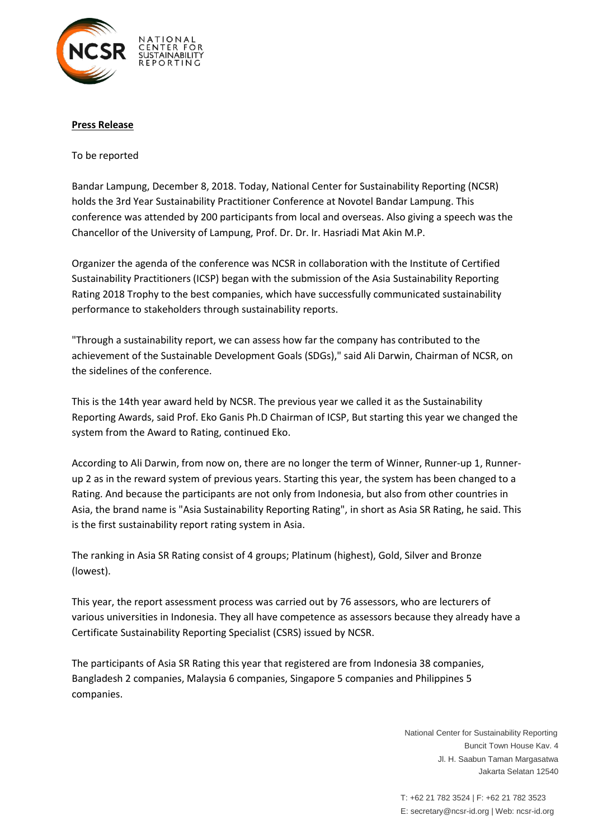

## **Press Release**

To be reported

Bandar Lampung, December 8, 2018. Today, National Center for Sustainability Reporting (NCSR) holds the 3rd Year Sustainability Practitioner Conference at Novotel Bandar Lampung. This conference was attended by 200 participants from local and overseas. Also giving a speech was the Chancellor of the University of Lampung, Prof. Dr. Dr. Ir. Hasriadi Mat Akin M.P.

Organizer the agenda of the conference was NCSR in collaboration with the Institute of Certified Sustainability Practitioners (ICSP) began with the submission of the Asia Sustainability Reporting Rating 2018 Trophy to the best companies, which have successfully communicated sustainability performance to stakeholders through sustainability reports.

"Through a sustainability report, we can assess how far the company has contributed to the achievement of the Sustainable Development Goals (SDGs)," said Ali Darwin, Chairman of NCSR, on the sidelines of the conference.

This is the 14th year award held by NCSR. The previous year we called it as the Sustainability Reporting Awards, said Prof. Eko Ganis Ph.D Chairman of ICSP, But starting this year we changed the system from the Award to Rating, continued Eko.

According to Ali Darwin, from now on, there are no longer the term of Winner, Runner-up 1, Runnerup 2 as in the reward system of previous years. Starting this year, the system has been changed to a Rating. And because the participants are not only from Indonesia, but also from other countries in Asia, the brand name is "Asia Sustainability Reporting Rating", in short as Asia SR Rating, he said. This is the first sustainability report rating system in Asia.

The ranking in Asia SR Rating consist of 4 groups; Platinum (highest), Gold, Silver and Bronze (lowest).

This year, the report assessment process was carried out by 76 assessors, who are lecturers of various universities in Indonesia. They all have competence as assessors because they already have a Certificate Sustainability Reporting Specialist (CSRS) issued by NCSR.

The participants of Asia SR Rating this year that registered are from Indonesia 38 companies, Bangladesh 2 companies, Malaysia 6 companies, Singapore 5 companies and Philippines 5 companies.

> National Center for Sustainability Reporting Buncit Town House Kav. 4 Jl. H. Saabun Taman Margasatwa Jakarta Selatan 12540

T: +62 21 782 3524 | F: +62 21 782 3523 E: secretary@ncsr-id.org | Web: ncsr-id.org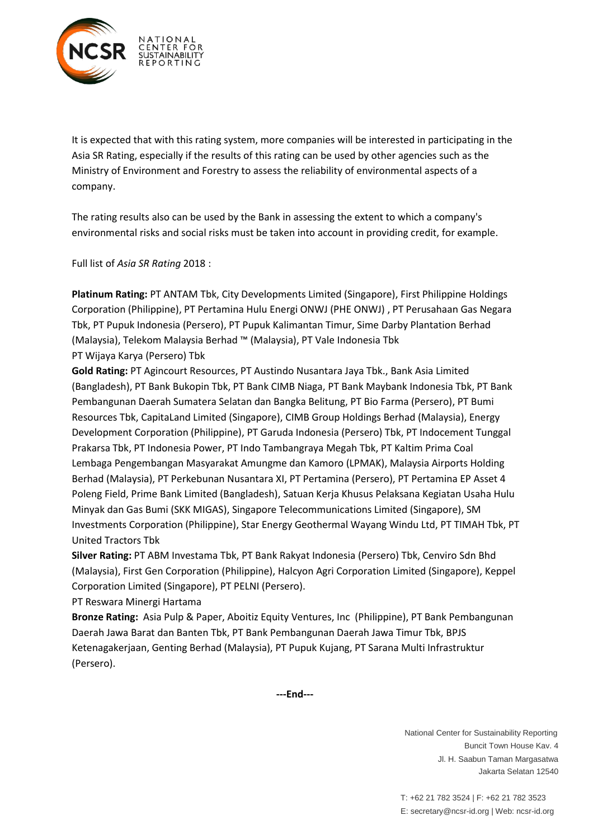

It is expected that with this rating system, more companies will be interested in participating in the Asia SR Rating, especially if the results of this rating can be used by other agencies such as the Ministry of Environment and Forestry to assess the reliability of environmental aspects of a company.

The rating results also can be used by the Bank in assessing the extent to which a company's environmental risks and social risks must be taken into account in providing credit, for example.

Full list of *Asia SR Rating* 2018 :

**Platinum Rating:** PT ANTAM Tbk, City Developments Limited (Singapore), First Philippine Holdings Corporation (Philippine), PT Pertamina Hulu Energi ONWJ (PHE ONWJ) , PT Perusahaan Gas Negara Tbk, PT Pupuk Indonesia (Persero), PT Pupuk Kalimantan Timur, Sime Darby Plantation Berhad (Malaysia), Telekom Malaysia Berhad ™ (Malaysia), PT Vale Indonesia Tbk PT Wijaya Karya (Persero) Tbk

**Gold Rating:** PT Agincourt Resources, PT Austindo Nusantara Jaya Tbk., Bank Asia Limited (Bangladesh), PT Bank Bukopin Tbk, PT Bank CIMB Niaga, PT Bank Maybank Indonesia Tbk, PT Bank Pembangunan Daerah Sumatera Selatan dan Bangka Belitung, PT Bio Farma (Persero), PT Bumi Resources Tbk, CapitaLand Limited (Singapore), CIMB Group Holdings Berhad (Malaysia), Energy Development Corporation (Philippine), PT Garuda Indonesia (Persero) Tbk, PT Indocement Tunggal Prakarsa Tbk, PT Indonesia Power, PT Indo Tambangraya Megah Tbk, PT Kaltim Prima Coal Lembaga Pengembangan Masyarakat Amungme dan Kamoro (LPMAK), Malaysia Airports Holding Berhad (Malaysia), PT Perkebunan Nusantara XI, PT Pertamina (Persero), PT Pertamina EP Asset 4 Poleng Field, Prime Bank Limited (Bangladesh), Satuan Kerja Khusus Pelaksana Kegiatan Usaha Hulu Minyak dan Gas Bumi (SKK MIGAS), Singapore Telecommunications Limited (Singapore), SM Investments Corporation (Philippine), Star Energy Geothermal Wayang Windu Ltd, PT TIMAH Tbk, PT United Tractors Tbk

**Silver Rating:** PT ABM Investama Tbk, PT Bank Rakyat Indonesia (Persero) Tbk, Cenviro Sdn Bhd (Malaysia), First Gen Corporation (Philippine), Halcyon Agri Corporation Limited (Singapore), Keppel Corporation Limited (Singapore), PT PELNI (Persero).

PT Reswara Minergi Hartama

**Bronze Rating:** Asia Pulp & Paper, Aboitiz Equity Ventures, Inc (Philippine), PT Bank Pembangunan Daerah Jawa Barat dan Banten Tbk, PT Bank Pembangunan Daerah Jawa Timur Tbk, BPJS Ketenagakerjaan, Genting Berhad (Malaysia), PT Pupuk Kujang, PT Sarana Multi Infrastruktur (Persero).

**-End---**

National Center for Sustainability Reporting Buncit Town House Kav. 4 Jl. H. Saabun Taman Margasatwa Jakarta Selatan 12540

T: +62 21 782 3524 | F: +62 21 782 3523 E: secretary@ncsr-id.org | Web: ncsr-id.org